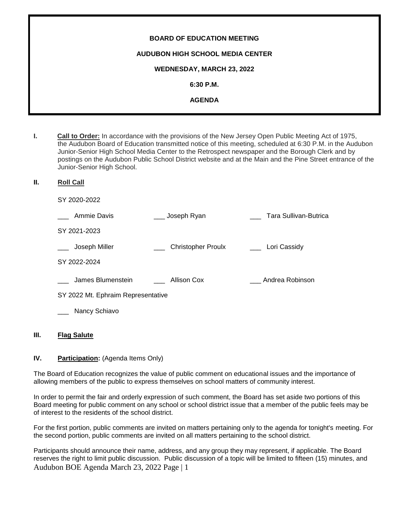| <b>BOARD OF EDUCATION MEETING</b>       |
|-----------------------------------------|
| <b>AUDUBON HIGH SCHOOL MEDIA CENTER</b> |
| <b>WEDNESDAY, MARCH 23, 2022</b>        |
| $6:30$ P.M.                             |
| <b>AGENDA</b>                           |
|                                         |

- **I. Call to Order:** In accordance with the provisions of the New Jersey Open Public Meeting Act of 1975, the Audubon Board of Education transmitted notice of this meeting, scheduled at 6:30 P.M. in the Audubon Junior-Senior High School Media Center to the Retrospect newspaper and the Borough Clerk and by postings on the Audubon Public School District website and at the Main and the Pine Street entrance of the Junior-Senior High School.
- **II. Roll Call**

SY 2020-2022

| Ammie Davis                        | Joseph Ryan               | Tara Sullivan-Butrica |
|------------------------------------|---------------------------|-----------------------|
| SY 2021-2023                       |                           |                       |
| Joseph Miller                      | <b>Christopher Proulx</b> | Lori Cassidy          |
| SY 2022-2024                       |                           |                       |
| James Blumenstein                  | Allison Cox               | Andrea Robinson       |
| SY 2022 Mt. Ephraim Representative |                           |                       |
| Nancy Schiavo                      |                           |                       |

# **III. Flag Salute**

# **IV.** Participation: (Agenda Items Only)

The Board of Education recognizes the value of public comment on educational issues and the importance of allowing members of the public to express themselves on school matters of community interest.

In order to permit the fair and orderly expression of such comment, the Board has set aside two portions of this Board meeting for public comment on any school or school district issue that a member of the public feels may be of interest to the residents of the school district.

For the first portion, public comments are invited on matters pertaining only to the agenda for tonight's meeting. For the second portion, public comments are invited on all matters pertaining to the school district.

Audubon BOE Agenda March 23, 2022 Page | 1 Participants should announce their name, address, and any group they may represent, if applicable. The Board reserves the right to limit public discussion. Public discussion of a topic will be limited to fifteen (15) minutes, and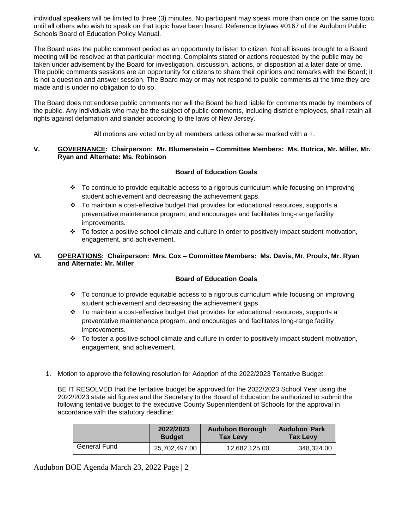individual speakers will be limited to three (3) minutes. No participant may speak more than once on the same topic until all others who wish to speak on that topic have been heard. Reference bylaws #0167 of the Audubon Public Schools Board of Education Policy Manual.

The Board uses the public comment period as an opportunity to listen to citizen. Not all issues brought to a Board meeting will be resolved at that particular meeting. Complaints stated or actions requested by the public may be taken under advisement by the Board for investigation, discussion, actions, or disposition at a later date or time. The public comments sessions are an opportunity for citizens to share their opinions and remarks with the Board; it is not a question and answer session. The Board may or may not respond to public comments at the time they are made and is under no obligation to do so.

The Board does not endorse public comments nor will the Board be held liable for comments made by members of the public. Any individuals who may be the subject of public comments, including district employees, shall retain all rights against defamation and slander according to the laws of New Jersey.

All motions are voted on by all members unless otherwise marked with a +.

# **V. GOVERNANCE: Chairperson: Mr. Blumenstein – Committee Members: Ms. Butrica, Mr. Miller, Mr. Ryan and Alternate: Ms. Robinson**

# **Board of Education Goals**

- To continue to provide equitable access to a rigorous curriculum while focusing on improving student achievement and decreasing the achievement gaps.
- $\cdot \cdot$  To maintain a cost-effective budget that provides for educational resources, supports a preventative maintenance program, and encourages and facilitates long-range facility improvements.
- \* To foster a positive school climate and culture in order to positively impact student motivation, engagement, and achievement.

# **VI. OPERATIONS: Chairperson: Mrs. Cox – Committee Members: Ms. Davis, Mr. Proulx, Mr. Ryan and Alternate: Mr. Miller**

# **Board of Education Goals**

- To continue to provide equitable access to a rigorous curriculum while focusing on improving student achievement and decreasing the achievement gaps.
- $\div$  To maintain a cost-effective budget that provides for educational resources, supports a preventative maintenance program, and encourages and facilitates long-range facility improvements.
- $\div$  To foster a positive school climate and culture in order to positively impact student motivation, engagement, and achievement.
- 1. Motion to approve the following resolution for Adoption of the 2022/2023 Tentative Budget:

BE IT RESOLVED that the tentative budget be approved for the 2022/2023 School Year using the 2022/2023 state aid figures and the Secretary to the Board of Education be authorized to submit the following tentative budget to the executive County Superintendent of Schools for the approval in accordance with the statutory deadline:

|              | 2022/2023     | <b>Audubon Borough</b> | <b>Audubon Park</b> |
|--------------|---------------|------------------------|---------------------|
|              | <b>Budget</b> | <b>Tax Levy</b>        | <b>Tax Levy</b>     |
| General Fund | 25,702,497.00 | 12,682,125.00          | 348,324.00          |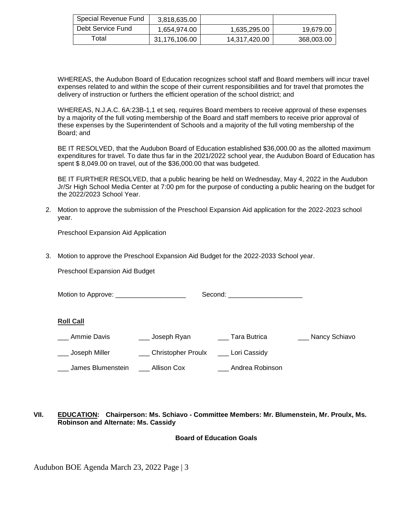| Special Revenue Fund | 3,818,635.00  |               |            |
|----------------------|---------------|---------------|------------|
| Debt Service Fund    | 1,654,974.00  | 1,635,295.00  | 19,679.00  |
| Total                | 31,176,106.00 | 14,317,420.00 | 368,003.00 |

WHEREAS, the Audubon Board of Education recognizes school staff and Board members will incur travel expenses related to and within the scope of their current responsibilities and for travel that promotes the delivery of instruction or furthers the efficient operation of the school district; and

WHEREAS, N.J.A.C. 6A:23B-1,1 et seq. requires Board members to receive approval of these expenses by a majority of the full voting membership of the Board and staff members to receive prior approval of these expenses by the Superintendent of Schools and a majority of the full voting membership of the Board; and

BE IT RESOLVED, that the Audubon Board of Education established \$36,000.00 as the allotted maximum expenditures for travel. To date thus far in the 2021/2022 school year, the Audubon Board of Education has spent \$ 8,049.00 on travel, out of the \$36,000.00 that was budgeted.

BE IT FURTHER RESOLVED, that a public hearing be held on Wednesday, May 4, 2022 in the Audubon Jr/Sr High School Media Center at 7:00 pm for the purpose of conducting a public hearing on the budget for the 2022/2023 School Year.

2. Motion to approve the submission of the Preschool Expansion Aid application for the 2022-2023 school year.

Preschool Expansion Aid Application

3. Motion to approve the Preschool Expansion Aid Budget for the 2022-2033 School year.

Preschool Expansion Aid Budget

Motion to Approve: example and second:  $\blacksquare$ 

#### **Roll Call**

- \_\_\_ Ammie Davis \_\_\_\_ \_\_\_\_ Joseph Ryan \_\_\_ \_\_\_ Tara Butrica \_\_\_\_\_ \_\_\_\_ Nancy Schiavo
- Loseph Miller **Christopher Proulx** Lori Cassidy
- \_\_\_ James Blumenstein \_\_\_ Allison Cox \_\_\_ Andrea Robinson

#### **VII. EDUCATION: Chairperson: Ms. Schiavo - Committee Members: Mr. Blumenstein, Mr. Proulx, Ms. Robinson and Alternate: Ms. Cassidy**

# **Board of Education Goals**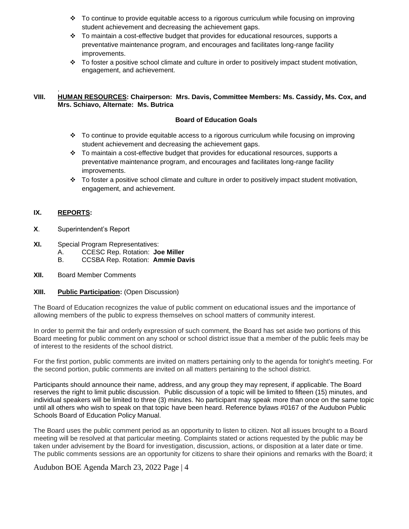- $\div$  To continue to provide equitable access to a rigorous curriculum while focusing on improving student achievement and decreasing the achievement gaps.
- $\cdot \cdot$  To maintain a cost-effective budget that provides for educational resources, supports a preventative maintenance program, and encourages and facilitates long-range facility improvements.
- \* To foster a positive school climate and culture in order to positively impact student motivation, engagement, and achievement.

#### . **VIII. HUMAN RESOURCES: Chairperson: Mrs. Davis, Committee Members: Ms. Cassidy, Ms. Cox, and Mrs. Schiavo, Alternate: Ms. Butrica**

#### **Board of Education Goals**

- $\div$  To continue to provide equitable access to a rigorous curriculum while focusing on improving student achievement and decreasing the achievement gaps.
- $\cdot \cdot$  To maintain a cost-effective budget that provides for educational resources, supports a preventative maintenance program, and encourages and facilitates long-range facility improvements.
- To foster a positive school climate and culture in order to positively impact student motivation, engagement, and achievement.

# **IX. REPORTS:**

- **X**. Superintendent's Report
- **XI.** Special Program Representatives:
	- A. CCESC Rep. Rotation: **Joe Miller**
	- B. CCSBA Rep. Rotation: **Ammie Davis**
- **XII.** Board Member Comments

#### **XIII. Public Participation:** (Open Discussion)

The Board of Education recognizes the value of public comment on educational issues and the importance of allowing members of the public to express themselves on school matters of community interest.

In order to permit the fair and orderly expression of such comment, the Board has set aside two portions of this Board meeting for public comment on any school or school district issue that a member of the public feels may be of interest to the residents of the school district.

For the first portion, public comments are invited on matters pertaining only to the agenda for tonight's meeting. For the second portion, public comments are invited on all matters pertaining to the school district.

Participants should announce their name, address, and any group they may represent, if applicable. The Board reserves the right to limit public discussion. Public discussion of a topic will be limited to fifteen (15) minutes, and individual speakers will be limited to three (3) minutes. No participant may speak more than once on the same topic until all others who wish to speak on that topic have been heard. Reference bylaws #0167 of the Audubon Public Schools Board of Education Policy Manual.

The Board uses the public comment period as an opportunity to listen to citizen. Not all issues brought to a Board meeting will be resolved at that particular meeting. Complaints stated or actions requested by the public may be taken under advisement by the Board for investigation, discussion, actions, or disposition at a later date or time. The public comments sessions are an opportunity for citizens to share their opinions and remarks with the Board; it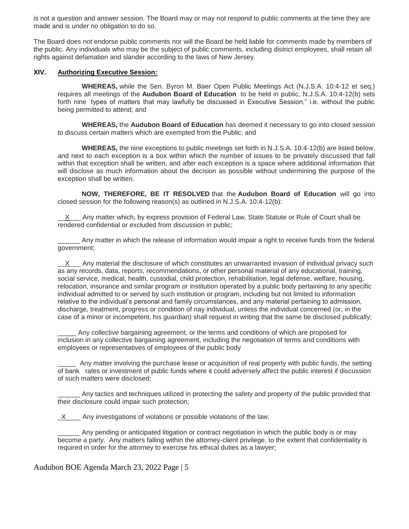is not a question and answer session. The Board may or may not respond to public comments at the time they are made and is under no obligation to do so.

The Board does not endorse public comments nor will the Board be held liable for comments made by members of the public. Any individuals who may be the subject of public comments, including district employees, shall retain all rights against defamation and slander according to the laws of New Jersey.

#### **XIV. Authorizing Executive Session:**

**WHEREAS,** while the Sen. Byron M. Baer Open Public Meetings Act (N.J.S.A. 10:4-12 et seq.) requires all meetings of the **Audubon Board of Education** to be held in public, N.J.S.A. 10:4-12(b) sets forth nine types of matters that may lawfully be discussed in Executive Session," i.e. without the public being permitted to attend; and

**WHEREAS,** the **Audubon Board of Education** has deemed it necessary to go into closed session to discuss certain matters which are exempted from the Public; and

**WHEREAS,** the nine exceptions to public meetings set forth in N.J.S.A. 10:4-12(b) are listed below, and next to each exception is a box within which the number of issues to be privately discussed that fall within that exception shall be written, and after each exception is a space where additional information that will disclose as much information about the decision as possible without undermining the purpose of the exception shall be written.

**NOW, THEREFORE, BE IT RESOLVED** that the **Audubon Board of Education** will go into closed session for the following reason(s) as outlined in N.J.S.A. 10:4-12(b):

 $X$  Any matter which, by express provision of Federal Law, State Statute or Rule of Court shall be rendered confidential or excluded from discussion in public;

\_\_\_\_\_\_ Any matter in which the release of information would impair a right to receive funds from the federal government;

 $X =$  Any material the disclosure of which constitutes an unwarranted invasion of individual privacy such as any records, data, reports, recommendations, or other personal material of any educational, training, social service, medical, health, custodial, child protection, rehabilitation, legal defense, welfare, housing, relocation, insurance and similar program or institution operated by a public body pertaining to any specific individual admitted to or served by such institution or program, including but not limited to information relative to the individual's personal and family circumstances, and any material pertaining to admission, discharge, treatment, progress or condition of nay individual, unless the individual concerned (or, in the case of a minor or incompetent, his guardian) shall request in writing that the same be disclosed publically;

Any collective bargaining agreement, or the terms and conditions of which are proposed for inclusion in any collective bargaining agreement, including the negotiation of terms and conditions with employees or representatives of employees of the public body

\_\_\_\_\_ Any matter involving the purchase lease or acquisition of real property with public funds, the setting of bank rates or investment of public funds where it could adversely affect the public interest if discussion of such matters were disclosed;

Any tactics and techniques utilized in protecting the safety and property of the public provided that their disclosure could impair such protection;

X Any investigations of violations or possible violations of the law;

Any pending or anticipated litigation or contract negotiation in which the public body is or may become a party. Any matters falling within the attorney-client privilege, to the extent that confidentiality is required in order for the attorney to exercise his ethical duties as a lawyer;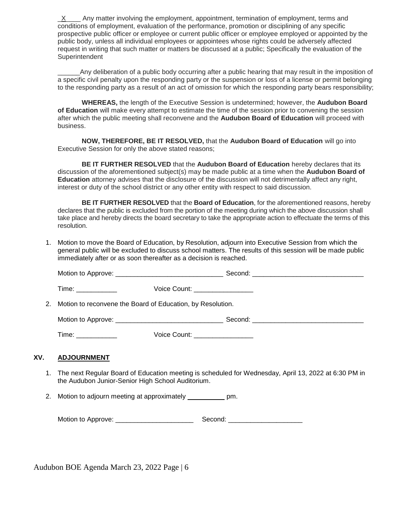$X$  Any matter involving the employment, appointment, termination of employment, terms and conditions of employment, evaluation of the performance, promotion or disciplining of any specific prospective public officer or employee or current public officer or employee employed or appointed by the public body, unless all individual employees or appointees whose rights could be adversely affected request in writing that such matter or matters be discussed at a public; Specifically the evaluation of the **Superintendent** 

\_\_\_\_\_\_Any deliberation of a public body occurring after a public hearing that may result in the imposition of a specific civil penalty upon the responding party or the suspension or loss of a license or permit belonging to the responding party as a result of an act of omission for which the responding party bears responsibility;

**WHEREAS,** the length of the Executive Session is undetermined; however, the **Audubon Board of Education** will make every attempt to estimate the time of the session prior to convening the session after which the public meeting shall reconvene and the **Audubon Board of Education** will proceed with business.

**NOW, THEREFORE, BE IT RESOLVED,** that the **Audubon Board of Education** will go into Executive Session for only the above stated reasons;

**BE IT FURTHER RESOLVED** that the **Audubon Board of Education** hereby declares that its discussion of the aforementioned subject(s) may be made public at a time when the **Audubon Board of Education** attorney advises that the disclosure of the discussion will not detrimentally affect any right, interest or duty of the school district or any other entity with respect to said discussion.

**BE IT FURTHER RESOLVED** that the **Board of Education**, for the aforementioned reasons, hereby declares that the public is excluded from the portion of the meeting during which the above discussion shall take place and hereby directs the board secretary to take the appropriate action to effectuate the terms of this resolution.

1. Motion to move the Board of Education, by Resolution, adjourn into Executive Session from which the general public will be excluded to discuss school matters. The results of this session will be made public immediately after or as soon thereafter as a decision is reached.

|     | Time: _____________                                                                                                                                                                                                            | Voice Count: __________________ |  |
|-----|--------------------------------------------------------------------------------------------------------------------------------------------------------------------------------------------------------------------------------|---------------------------------|--|
|     | 2. Motion to reconvene the Board of Education, by Resolution.                                                                                                                                                                  |                                 |  |
|     |                                                                                                                                                                                                                                |                                 |  |
|     | Time: the contract of the contract of the contract of the contract of the contract of the contract of the contract of the contract of the contract of the contract of the contract of the contract of the contract of the cont | Voice Count: __________________ |  |
| XV. | <b>ADJOURNMENT</b>                                                                                                                                                                                                             |                                 |  |

- 1. The next Regular Board of Education meeting is scheduled for Wednesday, April 13, 2022 at 6:30 PM in the Audubon Junior-Senior High School Auditorium.
	- 2. Motion to adjourn meeting at approximately \_\_\_\_\_\_\_\_\_\_\_ pm.

Motion to Approve: \_\_\_\_\_\_\_\_\_\_\_\_\_\_\_\_\_\_\_\_\_ Second: \_\_\_\_\_\_\_\_\_\_\_\_\_\_\_\_\_\_\_\_